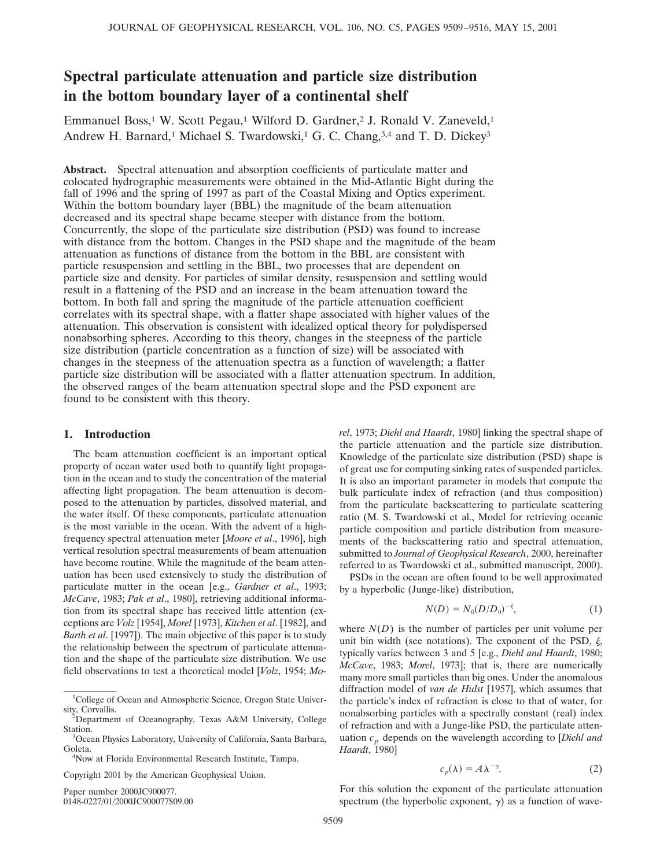# **Spectral particulate attenuation and particle size distribution in the bottom boundary layer of a continental shelf**

Emmanuel Boss,<sup>1</sup> W. Scott Pegau,<sup>1</sup> Wilford D. Gardner,<sup>2</sup> J. Ronald V. Zaneveld,<sup>1</sup> Andrew H. Barnard,<sup>1</sup> Michael S. Twardowski,<sup>1</sup> G. C. Chang,<sup>3,4</sup> and T. D. Dickey<sup>3</sup>

**Abstract.** Spectral attenuation and absorption coefficients of particulate matter and colocated hydrographic measurements were obtained in the Mid-Atlantic Bight during the fall of 1996 and the spring of 1997 as part of the Coastal Mixing and Optics experiment. Within the bottom boundary layer (BBL) the magnitude of the beam attenuation decreased and its spectral shape became steeper with distance from the bottom. Concurrently, the slope of the particulate size distribution (PSD) was found to increase with distance from the bottom. Changes in the PSD shape and the magnitude of the beam attenuation as functions of distance from the bottom in the BBL are consistent with particle resuspension and settling in the BBL, two processes that are dependent on particle size and density. For particles of similar density, resuspension and settling would result in a flattening of the PSD and an increase in the beam attenuation toward the bottom. In both fall and spring the magnitude of the particle attenuation coefficient correlates with its spectral shape, with a flatter shape associated with higher values of the attenuation. This observation is consistent with idealized optical theory for polydispersed nonabsorbing spheres. According to this theory, changes in the steepness of the particle size distribution (particle concentration as a function of size) will be associated with changes in the steepness of the attenuation spectra as a function of wavelength; a flatter particle size distribution will be associated with a flatter attenuation spectrum. In addition, the observed ranges of the beam attenuation spectral slope and the PSD exponent are found to be consistent with this theory.

# **1. Introduction**

The beam attenuation coefficient is an important optical property of ocean water used both to quantify light propagation in the ocean and to study the concentration of the material affecting light propagation. The beam attenuation is decomposed to the attenuation by particles, dissolved material, and the water itself. Of these components, particulate attenuation is the most variable in the ocean. With the advent of a highfrequency spectral attenuation meter [*Moore et al*., 1996], high vertical resolution spectral measurements of beam attenuation have become routine. While the magnitude of the beam attenuation has been used extensively to study the distribution of particulate matter in the ocean [e.g., *Gardner et al*., 1993; *McCave*, 1983; *Pak et al*., 1980], retrieving additional information from its spectral shape has received little attention (exceptions are *Volz* [1954], *Morel* [1973], *Kitchen et al*. [1982], and *Barth et al*. [1997]). The main objective of this paper is to study the relationship between the spectrum of particulate attenuation and the shape of the particulate size distribution. We use field observations to test a theoretical model [*Volz*, 1954; *Mo-*

Copyright 2001 by the American Geophysical Union.

Paper number 2000JC900077.

0148-0227/01/2000JC900077\$09.00

*rel*, 1973; *Diehl and Haardt*, 1980] linking the spectral shape of the particle attenuation and the particle size distribution. Knowledge of the particulate size distribution (PSD) shape is of great use for computing sinking rates of suspended particles. It is also an important parameter in models that compute the bulk particulate index of refraction (and thus composition) from the particulate backscattering to particulate scattering ratio (M. S. Twardowski et al., Model for retrieving oceanic particle composition and particle distribution from measurements of the backscattering ratio and spectral attenuation, submitted to *Journal of Geophysical Research*, 2000, hereinafter referred to as Twardowski et al., submitted manuscript, 2000).

PSDs in the ocean are often found to be well approximated by a hyperbolic (Junge-like) distribution,

$$
N(D) = N_0(D/D_0)^{-\xi}, \tag{1}
$$

where  $N(D)$  is the number of particles per unit volume per unit bin width (see notations). The exponent of the PSD,  $\xi$ , typically varies between 3 and 5 [e.g., *Diehl and Haardt*, 1980; *McCave*, 1983; *Morel*, 1973]; that is, there are numerically many more small particles than big ones. Under the anomalous diffraction model of *van de Hulst* [1957], which assumes that the particle's index of refraction is close to that of water, for nonabsorbing particles with a spectrally constant (real) index of refraction and with a Junge-like PSD, the particulate attenuation  $c_p$  depends on the wavelength according to [*Diehl and Haardt*, 1980]

$$
c_p(\lambda) = A\lambda^{-\gamma}.\tag{2}
$$

For this solution the exponent of the particulate attenuation spectrum (the hyperbolic exponent,  $\gamma$ ) as a function of wave-

<sup>&</sup>lt;sup>1</sup>College of Ocean and Atmospheric Science, Oregon State University, Corvallis.

Department of Oceanography, Texas A&M University, College Station.

Ocean Physics Laboratory, University of California, Santa Barbara, Goleta.

<sup>&</sup>lt;sup>4</sup>Now at Florida Environmental Research Institute, Tampa.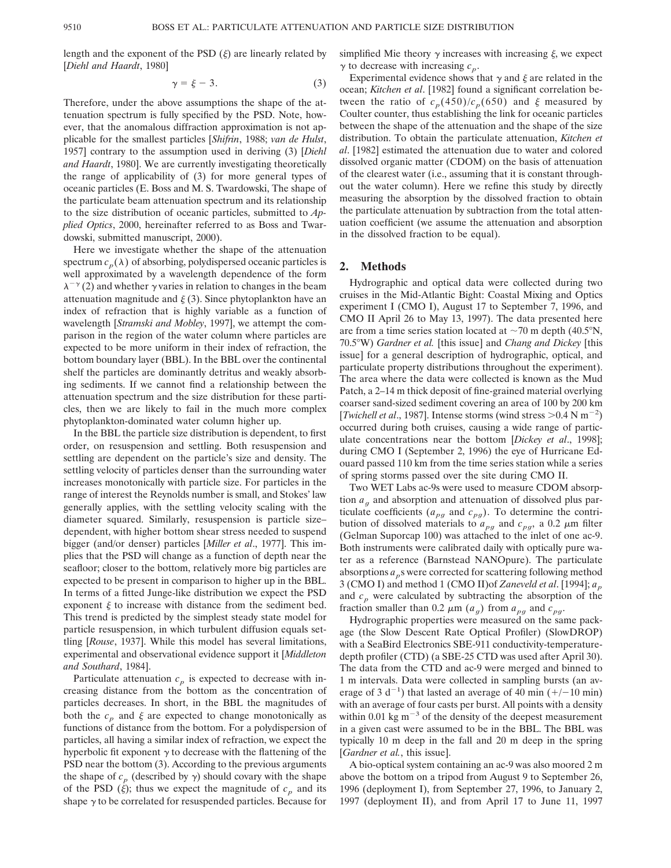length and the exponent of the PSD  $(\xi)$  are linearly related by [*Diehl and Haardt*, 1980]

$$
\gamma = \xi - 3. \tag{3}
$$

Therefore, under the above assumptions the shape of the attenuation spectrum is fully specified by the PSD. Note, however, that the anomalous diffraction approximation is not applicable for the smallest particles [*Shifrin*, 1988; *van de Hulst*, 1957] contrary to the assumption used in deriving (3) [*Diehl and Haardt*, 1980]. We are currently investigating theoretically the range of applicability of (3) for more general types of oceanic particles (E. Boss and M. S. Twardowski, The shape of the particulate beam attenuation spectrum and its relationship to the size distribution of oceanic particles, submitted to *Applied Optics*, 2000, hereinafter referred to as Boss and Twardowski, submitted manuscript, 2000).

Here we investigate whether the shape of the attenuation spectrum  $c_p(\lambda)$  of absorbing, polydispersed oceanic particles is well approximated by a wavelength dependence of the form  $\lambda^{-\gamma}$  (2) and whether  $\gamma$  varies in relation to changes in the beam attenuation magnitude and  $\xi$  (3). Since phytoplankton have an index of refraction that is highly variable as a function of wavelength [*Stramski and Mobley*, 1997], we attempt the comparison in the region of the water column where particles are expected to be more uniform in their index of refraction, the bottom boundary layer (BBL). In the BBL over the continental shelf the particles are dominantly detritus and weakly absorbing sediments. If we cannot find a relationship between the attenuation spectrum and the size distribution for these particles, then we are likely to fail in the much more complex phytoplankton-dominated water column higher up.

In the BBL the particle size distribution is dependent, to first order, on resuspension and settling. Both resuspension and settling are dependent on the particle's size and density. The settling velocity of particles denser than the surrounding water increases monotonically with particle size. For particles in the range of interest the Reynolds number is small, and Stokes' law generally applies, with the settling velocity scaling with the diameter squared. Similarly, resuspension is particle size– dependent, with higher bottom shear stress needed to suspend bigger (and/or denser) particles [*Miller et al*., 1977]. This implies that the PSD will change as a function of depth near the seafloor; closer to the bottom, relatively more big particles are expected to be present in comparison to higher up in the BBL. In terms of a fitted Junge-like distribution we expect the PSD exponent  $\xi$  to increase with distance from the sediment bed. This trend is predicted by the simplest steady state model for particle resuspension, in which turbulent diffusion equals settling [*Rouse*, 1937]. While this model has several limitations, experimental and observational evidence support it [*Middleton and Southard*, 1984].

Particulate attenuation  $c_p$  is expected to decrease with increasing distance from the bottom as the concentration of particles decreases. In short, in the BBL the magnitudes of both the  $c_p$  and  $\xi$  are expected to change monotonically as functions of distance from the bottom. For a polydispersion of particles, all having a similar index of refraction, we expect the hyperbolic fit exponent  $\gamma$  to decrease with the flattening of the PSD near the bottom (3). According to the previous arguments the shape of  $c_p$  (described by  $\gamma$ ) should covary with the shape of the PSD  $(\xi)$ ; thus we expect the magnitude of  $c_p$  and its shape  $\gamma$  to be correlated for resuspended particles. Because for

simplified Mie theory  $\gamma$  increases with increasing  $\xi$ , we expect  $\gamma$  to decrease with increasing  $c_p$ .

Experimental evidence shows that  $\gamma$  and  $\xi$  are related in the ocean; *Kitchen et al*. [1982] found a significant correlation between the ratio of  $c_p(450)/c_p(650)$  and  $\xi$  measured by Coulter counter, thus establishing the link for oceanic particles between the shape of the attenuation and the shape of the size distribution. To obtain the particulate attenuation, *Kitchen et al*. [1982] estimated the attenuation due to water and colored dissolved organic matter (CDOM) on the basis of attenuation of the clearest water (i.e., assuming that it is constant throughout the water column). Here we refine this study by directly measuring the absorption by the dissolved fraction to obtain the particulate attenuation by subtraction from the total attenuation coefficient (we assume the attenuation and absorption in the dissolved fraction to be equal).

#### **2. Methods**

Hydrographic and optical data were collected during two cruises in the Mid-Atlantic Bight: Coastal Mixing and Optics experiment I (CMO I), August 17 to September 7, 1996, and CMO II April 26 to May 13, 1997). The data presented here are from a time series station located at  $\sim$  70 m depth (40.5°N, 70.58W) *Gardner et al.* [this issue] and *Chang and Dickey* [this issue] for a general description of hydrographic, optical, and particulate property distributions throughout the experiment). The area where the data were collected is known as the Mud Patch, a 2–14 m thick deposit of fine-grained material overlying coarser sand-sized sediment covering an area of 100 by 200 km [*Twichell et al.*, 1987]. Intense storms (wind stress  $> 0.4$  N m<sup>-2</sup>) occurred during both cruises, causing a wide range of particulate concentrations near the bottom [*Dickey et al*., 1998]; during CMO I (September 2, 1996) the eye of Hurricane Edouard passed 110 km from the time series station while a series of spring storms passed over the site during CMO II.

Two WET Labs ac-9s were used to measure CDOM absorption  $a<sub>g</sub>$  and absorption and attenuation of dissolved plus particulate coefficients ( $a_{pg}$  and  $c_{pg}$ ). To determine the contribution of dissolved materials to  $a_{pg}$  and  $c_{pg}$ , a 0.2  $\mu$ m filter (Gelman Suporcap 100) was attached to the inlet of one ac-9. Both instruments were calibrated daily with optically pure water as a reference (Barnstead NANOpure). The particulate absorptions  $a_p$ s were corrected for scattering following method 3 (CMO I) and method 1 (CMO II)of *Zaneveld et al*. [1994]; *ap* and  $c_p$  were calculated by subtracting the absorption of the fraction smaller than 0.2  $\mu$ m ( $a_g$ ) from  $a_{pg}$  and  $c_{pg}$ .

Hydrographic properties were measured on the same package (the Slow Descent Rate Optical Profiler) (SlowDROP) with a SeaBird Electronics SBE-911 conductivity-temperaturedepth profiler (CTD) (a SBE-25 CTD was used after April 30). The data from the CTD and ac-9 were merged and binned to 1 m intervals. Data were collected in sampling bursts (an average of 3 d<sup>-1</sup>) that lasted an average of 40 min ( $+/-10$  min) with an average of four casts per burst. All points with a density within 0.01 kg  $m^{-3}$  of the density of the deepest measurement in a given cast were assumed to be in the BBL. The BBL was typically 10 m deep in the fall and 20 m deep in the spring [*Gardner et al.*, this issue].

A bio-optical system containing an ac-9 was also moored 2 m above the bottom on a tripod from August 9 to September 26, 1996 (deployment I), from September 27, 1996, to January 2, 1997 (deployment II), and from April 17 to June 11, 1997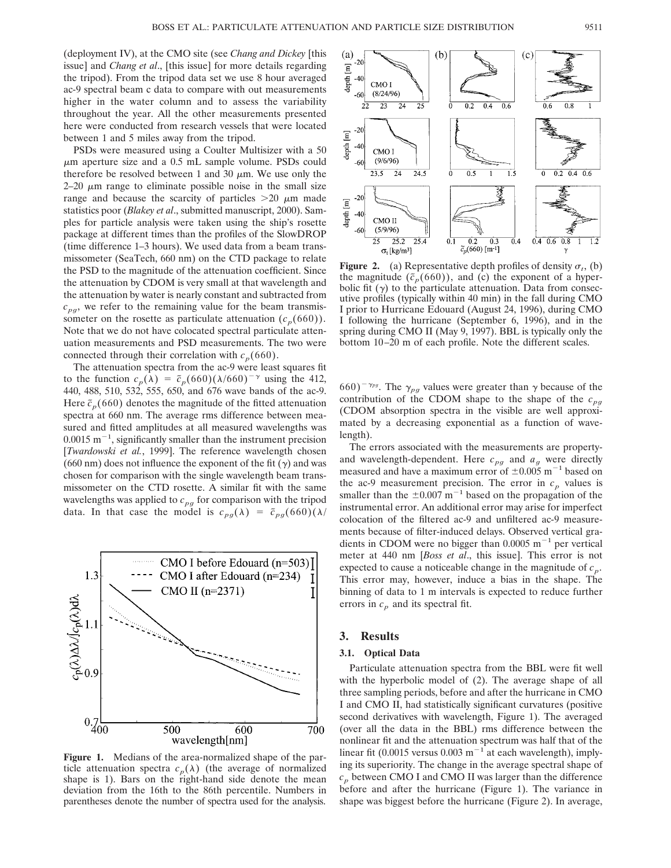(deployment IV), at the CMO site (see *Chang and Dickey* [this issue] and *Chang et al*., [this issue] for more details regarding the tripod). From the tripod data set we use 8 hour averaged ac-9 spectral beam c data to compare with out measurements higher in the water column and to assess the variability throughout the year. All the other measurements presented here were conducted from research vessels that were located between 1 and 5 miles away from the tripod.

PSDs were measured using a Coulter Multisizer with a 50  $\mu$ m aperture size and a 0.5 mL sample volume. PSDs could therefore be resolved between 1 and 30  $\mu$ m. We use only the  $2-20 \mu m$  range to eliminate possible noise in the small size range and because the scarcity of particles  $>20 \mu m$  made statistics poor (*Blakey et al*., submitted manuscript, 2000). Samples for particle analysis were taken using the ship's rosette package at different times than the profiles of the SlowDROP (time difference 1–3 hours). We used data from a beam transmissometer (SeaTech, 660 nm) on the CTD package to relate the PSD to the magnitude of the attenuation coefficient. Since the attenuation by CDOM is very small at that wavelength and the attenuation by water is nearly constant and subtracted from  $c_{pg}$ , we refer to the remaining value for the beam transmissometer on the rosette as particulate attenuation  $(c_p(660))$ . Note that we do not have colocated spectral particulate attenuation measurements and PSD measurements. The two were connected through their correlation with  $c_p(660)$ .

The attenuation spectra from the ac-9 were least squares fit to the function  $c_p(\lambda) = \tilde{c}_p(660)(\lambda/660)^{-\gamma}$  using the 412, 440, 488, 510, 532, 555, 650, and 676 wave bands of the ac-9. Here  $\tilde{c}_p(660)$  denotes the magnitude of the fitted attenuation spectra at 660 nm. The average rms difference between measured and fitted amplitudes at all measured wavelengths was  $0.0015$  m<sup>-1</sup>, significantly smaller than the instrument precision [*Twardowski et al.*, 1999]. The reference wavelength chosen (660 nm) does not influence the exponent of the fit  $(\gamma)$  and was chosen for comparison with the single wavelength beam transmissometer on the CTD rosette. A similar fit with the same wavelengths was applied to  $c_{pg}$  for comparison with the tripod data. In that case the model is  $c_{pq}(\lambda) = \tilde{c}_{pq}(660)(\lambda)$ 



**Figure 1.** Medians of the area-normalized shape of the particle attenuation spectra  $c_p(\lambda)$  (the average of normalized shape is 1). Bars on the right-hand side denote the mean deviation from the 16th to the 86th percentile. Numbers in parentheses denote the number of spectra used for the analysis.



**Figure 2.** (a) Representative depth profiles of density  $\sigma_t$ , (b) **Figure 2.** (a) Representative depth profiles of density  $\sigma_t$ , (b) the magnitude  $(\bar{c}_n(660))$ , and (c) the exponent of a hyperbolic fit  $(\gamma)$  to the particulate attenuation. Data from consecutive profiles (typically within 40 min) in the fall during CMO I prior to Hurricane Edouard (August 24, 1996), during CMO I following the hurricane (September 6, 1996), and in the spring during CMO II (May 9, 1997). BBL is typically only the bottom 10–20 m of each profile. Note the different scales.

 $(660)^{-\gamma_{pg}}$ . The  $\gamma_{pg}$  values were greater than  $\gamma$  because of the contribution of the CDOM shape to the shape of the  $c_{pq}$ (CDOM absorption spectra in the visible are well approximated by a decreasing exponential as a function of wavelength).

The errors associated with the measurements are propertyand wavelength-dependent. Here  $c_{pg}$  and  $a_g$  were directly measured and have a maximum error of  $\pm 0.005$  m<sup>-1</sup> based on the ac-9 measurement precision. The error in  $c_p$  values is smaller than the  $\pm 0.007$  m<sup>-1</sup> based on the propagation of the instrumental error. An additional error may arise for imperfect colocation of the filtered ac-9 and unfiltered ac-9 measurements because of filter-induced delays. Observed vertical gradients in CDOM were no bigger than  $0.0005$  m<sup>-1</sup> per vertical meter at 440 nm [*Boss et al*., this issue]. This error is not expected to cause a noticeable change in the magnitude of  $c_p$ . This error may, however, induce a bias in the shape. The binning of data to 1 m intervals is expected to reduce further errors in  $c_p$  and its spectral fit.

## **3. Results**

#### **3.1. Optical Data**

Particulate attenuation spectra from the BBL were fit well with the hyperbolic model of (2). The average shape of all three sampling periods, before and after the hurricane in CMO I and CMO II, had statistically significant curvatures (positive second derivatives with wavelength, Figure 1). The averaged (over all the data in the BBL) rms difference between the nonlinear fit and the attenuation spectrum was half that of the linear fit (0.0015 versus 0.003 m<sup> $-1$ </sup> at each wavelength), implying its superiority. The change in the average spectral shape of  $c_p$  between CMO I and CMO II was larger than the difference before and after the hurricane (Figure 1). The variance in shape was biggest before the hurricane (Figure 2). In average,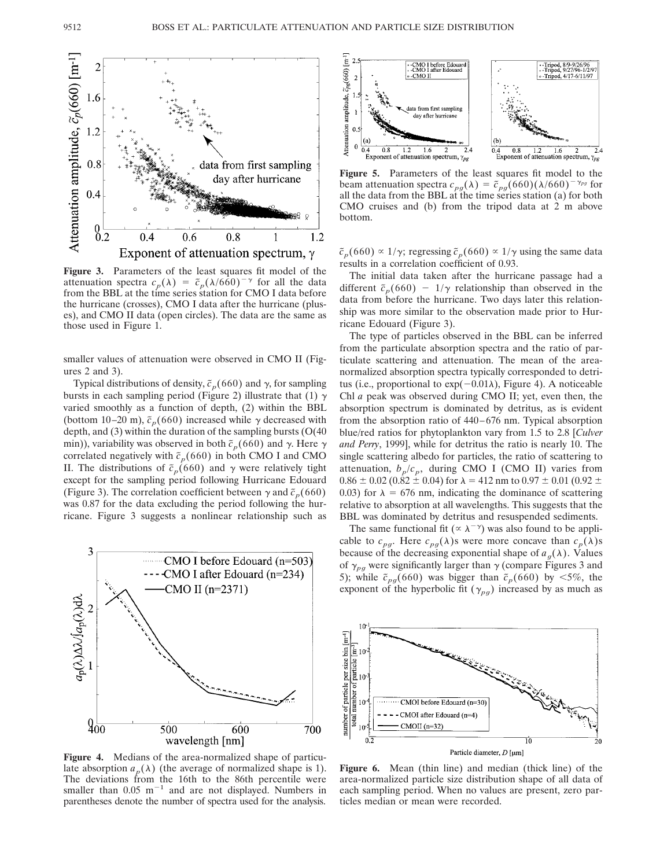

**Figure 3.** Parameters of the least squares fit model of the attenuation spectra  $c_p(\lambda) = \tilde{c}_p(\lambda/6\tilde{6}0)^{-\gamma}$  for all the data from the BBL at the time series station for CMO I data before the hurricane (crosses), CMO I data after the hurricane (pluses), and CMO II data (open circles). The data are the same as those used in Figure 1.

smaller values of attenuation were observed in CMO II (Figures 2 and 3).

Typical distributions of density,  $\tilde{c}_p(660)$  and  $\gamma$ , for sampling bursts in each sampling period (Figure 2) illustrate that (1)  $\gamma$ varied smoothly as a function of depth, (2) within the BBL (bottom 10–20 m),  $\tilde{c}_p(660)$  increased while  $\gamma$  decreased with depth, and (3) within the duration of the sampling bursts (O(40 min)), variability was observed in both  $\tilde{c}_p(660)$  and  $\gamma$ . Here  $\gamma$ correlated negatively with  $\tilde{c}_p(660)$  in both CMO I and CMO II. The distributions of  $\tilde{c}_p(660)$  and  $\gamma$  were relatively tight except for the sampling period following Hurricane Edouard (Figure 3). The correlation coefficient between  $\gamma$  and  $\tilde{\epsilon}_p(660)$ was 0.87 for the data excluding the period following the hurricane. Figure 3 suggests a nonlinear relationship such as



**Figure 4.** Medians of the area-normalized shape of particulate absorption  $a_p(\lambda)$  (the average of normalized shape is 1). The deviations from the 16th to the 86th percentile were smaller than  $0.05 \text{ m}^{-1}$  and are not displayed. Numbers in parentheses denote the number of spectra used for the analysis.



**Figure 5.** Parameters of the least squares fit model to the beam attenuation spectra  $c_{pg}(\lambda) = \tilde{c}_{pg}(660)(\lambda/660)^{-\gamma_{pg}}$  for all the data from the BBL at the time series station (a) for both CMO cruises and (b) from the tripod data at 2 m above bottom.

 $\tilde{c}_p(660) \propto 1/\gamma$ ; regressing  $\tilde{c}_p(660) \propto 1/\gamma$  using the same data results in a correlation coefficient of 0.93.

The initial data taken after the hurricane passage had a different  $\tilde{c}_p(660) - 1/\gamma$  relationship than observed in the data from before the hurricane. Two days later this relationship was more similar to the observation made prior to Hurricane Edouard (Figure 3).

The type of particles observed in the BBL can be inferred from the particulate absorption spectra and the ratio of particulate scattering and attenuation. The mean of the areanormalized absorption spectra typically corresponded to detritus (i.e., proportional to  $exp(-0.01\lambda)$ , Figure 4). A noticeable Chl *a* peak was observed during CMO II; yet, even then, the absorption spectrum is dominated by detritus, as is evident from the absorption ratio of 440–676 nm. Typical absorption blue/red ratios for phytoplankton vary from 1.5 to 2.8 [*Culver and Perry*, 1999], while for detritus the ratio is nearly 10. The single scattering albedo for particles, the ratio of scattering to attenuation,  $b_p/c_p$ , during CMO I (CMO II) varies from  $0.86 \pm 0.02$  ( $0.\overline{82 \pm 0.04}$ ) for  $\lambda = 412$  nm to  $0.97 \pm 0.01$  ( $0.92 \pm 0.01$ ) 0.03) for  $\lambda = 676$  nm, indicating the dominance of scattering relative to absorption at all wavelengths. This suggests that the BBL was dominated by detritus and resuspended sediments.

The same functional fit ( $\propto \lambda^{-\gamma}$ ) was also found to be applicable to  $c_{pg}$ . Here  $c_{pg}(\lambda)$ s were more concave than  $c_p(\lambda)$ s because of the decreasing exponential shape of  $a_g(\lambda)$ . Values of  $\gamma_{pg}$  were significantly larger than  $\gamma$  (compare Figures 3 and 5); while  $\tilde{c}_{pg}(660)$  was bigger than  $\tilde{c}_p(660)$  by <5%, the exponent of the hyperbolic fit ( $\gamma_{pg}$ ) increased by as much as



**Figure 6.** Mean (thin line) and median (thick line) of the area-normalized particle size distribution shape of all data of each sampling period. When no values are present, zero particles median or mean were recorded.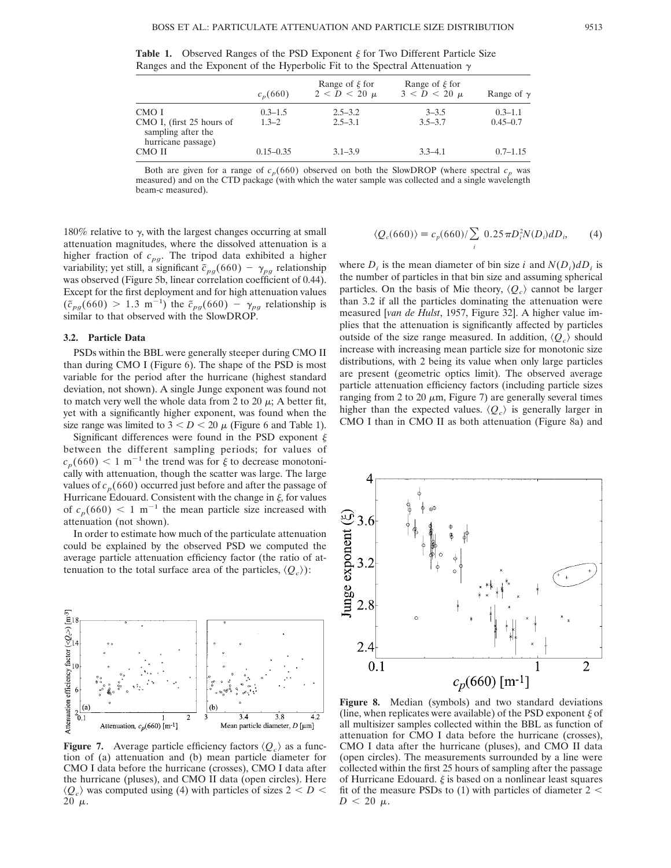|                                                          | $c_n(660)$               | Range of $\xi$ for<br>$2 < D < 20 \mu$ | Range of $\xi$ for<br>$3 < D < 20 \mu$ | Range of $\gamma$           |  |
|----------------------------------------------------------|--------------------------|----------------------------------------|----------------------------------------|-----------------------------|--|
| CMO I<br>CMO I, (first 25 hours of<br>sampling after the | $0.3 - 1.5$<br>$1.3 - 2$ | $2.5 - 3.2$<br>$2.5 - 3.1$             | $3 - 3.5$<br>$3.5 - 3.7$               | $0.3 - 1.1$<br>$0.45 - 0.7$ |  |
| hurricane passage)<br>CMO II                             | $0.15 - 0.35$            | $3.1 - 3.9$                            | $3.3 - 4.1$                            | $0.7 - 1.15$                |  |

**Table 1.** Observed Ranges of the PSD Exponent  $\xi$  for Two Different Particle Size Ranges and the Exponent of the Hyperbolic Fit to the Spectral Attenuation  $\gamma$ 

Both are given for a range of  $c_p(660)$  observed on both the SlowDROP (where spectral  $c_p$  was measured) and on the CTD package (with which the water sample was collected and a single wavelength beam-c measured).

180% relative to  $\gamma$ , with the largest changes occurring at small attenuation magnitudes, where the dissolved attenuation is a higher fraction of  $c_{pg}$ . The tripod data exhibited a higher variability; yet still, a significant  $\tilde{c}_{pg}(660) - \gamma_{pg}$  relationship was observed (Figure 5b, linear correlation coefficient of 0.44). Except for the first deployment and for high attenuation values  $(\tilde{c}_{pg}(660) > 1.3 \text{ m}^{-1})$  the  $\tilde{c}_{pg}(660) - \gamma_{pg}$  relationship is similar to that observed with the SlowDROP.

#### **3.2. Particle Data**

PSDs within the BBL were generally steeper during CMO II than during CMO I (Figure 6). The shape of the PSD is most variable for the period after the hurricane (highest standard deviation, not shown). A single Junge exponent was found not to match very well the whole data from 2 to 20  $\mu$ ; A better fit, yet with a significantly higher exponent, was found when the size range was limited to  $3 < D < 20 \mu$  (Figure 6 and Table 1).

Significant differences were found in the PSD exponent  $\xi$ between the different sampling periods; for values of  $c_p(660) < 1 \text{ m}^{-1}$  the trend was for  $\xi$  to decrease monotonically with attenuation, though the scatter was large. The large values of  $c_p(660)$  occurred just before and after the passage of Hurricane Edouard. Consistent with the change in  $\xi$ , for values of  $c_p(660) < 1 \text{ m}^{-1}$  the mean particle size increased with attenuation (not shown).

In order to estimate how much of the particulate attenuation could be explained by the observed PSD we computed the average particle attenuation efficiency factor (the ratio of attenuation to the total surface area of the particles,  $\langle Q_c \rangle$ :



**Figure 7.** Average particle efficiency factors  $\langle Q_c \rangle$  as a function of (a) attenuation and (b) mean particle diameter for CMO I data before the hurricane (crosses), CMO I data after the hurricane (pluses), and CMO II data (open circles). Here  $\langle Q_c \rangle$  was computed using (4) with particles of sizes 2  $\langle D \rangle$ 20  $\mu$ .

$$
\langle Q_c(660)\rangle \equiv c_p(660)/\sum_i 0.25 \pi D_i^2 N(D_i) dD_i, \qquad (4)
$$

where  $D_i$  is the mean diameter of bin size *i* and  $N(D_i)dD_i$  is the number of particles in that bin size and assuming spherical particles. On the basis of Mie theory,  $\langle Q_c \rangle$  cannot be larger than 3.2 if all the particles dominating the attenuation were measured [*van de Hulst*, 1957, Figure 32]. A higher value implies that the attenuation is significantly affected by particles outside of the size range measured. In addition,  $\langle Q_c \rangle$  should increase with increasing mean particle size for monotonic size distributions, with 2 being its value when only large particles are present (geometric optics limit). The observed average particle attenuation efficiency factors (including particle sizes ranging from 2 to 20  $\mu$ m, Figure 7) are generally several times higher than the expected values.  $\langle Q_c \rangle$  is generally larger in CMO I than in CMO II as both attenuation (Figure 8a) and



**Figure 8.** Median (symbols) and two standard deviations (line, when replicates were available) of the PSD exponent  $\xi$  of all multisizer samples collected within the BBL as function of attenuation for CMO I data before the hurricane (crosses), CMO I data after the hurricane (pluses), and CMO II data (open circles). The measurements surrounded by a line were collected within the first 25 hours of sampling after the passage of Hurricane Edouard.  $\xi$  is based on a nonlinear least squares fit of the measure PSDs to  $(1)$  with particles of diameter 2 <  $D < 20 \mu$ .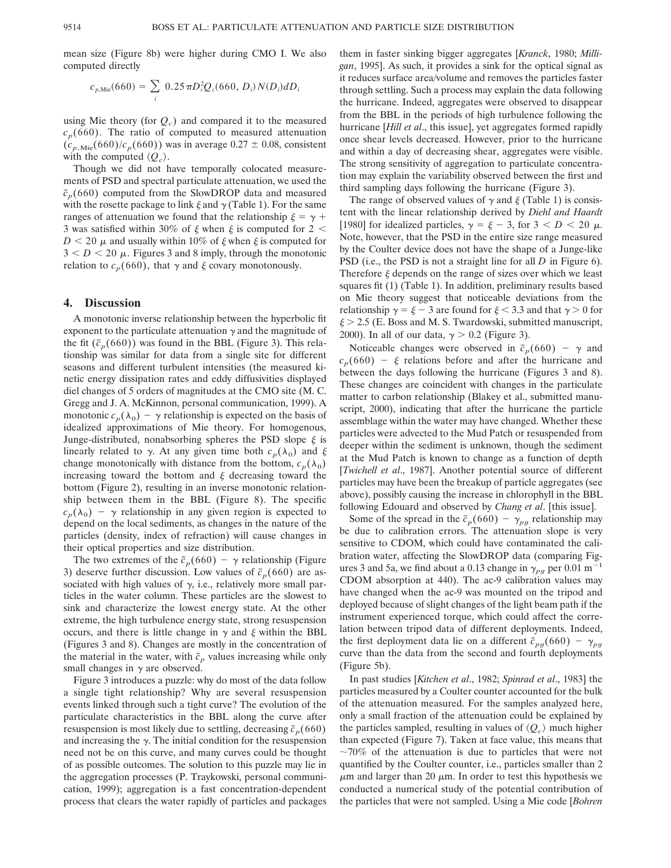mean size (Figure 8b) were higher during CMO I. We also computed directly

$$
c_{p,\text{Mie}}(660) = \sum_{i} 0.25 \pi D_i^2 Q_c(660, D_i) N(D_i) dD_i
$$

using Mie theory (for  $Q_c$ ) and compared it to the measured  $c_p(660)$ . The ratio of computed to measured attenuation  $(c_{p,\text{Mie}}(660)/c_p(660))$  was in average 0.27  $\pm$  0.08, consistent with the computed  $\langle Q_c \rangle$ .

Though we did not have temporally colocated measurements of PSD and spectral particulate attenuation, we used the  $\tilde{c}_p(660)$  computed from the SlowDROP data and measured with the rosette package to link  $\xi$  and  $\gamma$  (Table 1). For the same ranges of attenuation we found that the relationship  $\xi = \gamma +$ 3 was satisfied within 30% of  $\xi$  when  $\xi$  is computed for 2 <  $D < 20 \mu$  and usually within 10% of  $\xi$  when  $\xi$  is computed for  $3 < D < 20 \mu$ . Figures 3 and 8 imply, through the monotonic relation to  $c_p(660)$ , that  $\gamma$  and  $\xi$  covary monotonously.

#### **4. Discussion**

A monotonic inverse relationship between the hyperbolic fit exponent to the particulate attenuation  $\gamma$  and the magnitude of the fit  $(\tilde{c}_p(660))$  was found in the BBL (Figure 3). This relationship was similar for data from a single site for different seasons and different turbulent intensities (the measured kinetic energy dissipation rates and eddy diffusivities displayed diel changes of 5 orders of magnitudes at the CMO site (M. C. Gregg and J. A. McKinnon, personal communication, 1999). A monotonic  $c_p(\lambda_0) - \gamma$  relationship is expected on the basis of idealized approximations of Mie theory. For homogenous, Junge-distributed, nonabsorbing spheres the PSD slope  $\xi$  is linearly related to  $\gamma$ . At any given time both  $c_p(\lambda_0)$  and  $\xi$ change monotonically with distance from the bottom,  $c_p(\lambda_0)$ increasing toward the bottom and  $\xi$  decreasing toward the bottom (Figure 2), resulting in an inverse monotonic relationship between them in the BBL (Figure 8). The specific  $c_p(\lambda_0)$  –  $\gamma$  relationship in any given region is expected to depend on the local sediments, as changes in the nature of the particles (density, index of refraction) will cause changes in their optical properties and size distribution.

The two extremes of the  $\tilde{c}_p(660) - \gamma$  relationship (Figure 3) deserve further discussion. Low values of  $\tilde{c}_p(660)$  are associated with high values of  $\gamma$ , i.e., relatively more small particles in the water column. These particles are the slowest to sink and characterize the lowest energy state. At the other extreme, the high turbulence energy state, strong resuspension occurs, and there is little change in  $\gamma$  and  $\xi$  within the BBL (Figures 3 and 8). Changes are mostly in the concentration of the material in the water, with  $\tilde{c}_p$  values increasing while only small changes in  $\gamma$  are observed.

Figure 3 introduces a puzzle: why do most of the data follow a single tight relationship? Why are several resuspension events linked through such a tight curve? The evolution of the particulate characteristics in the BBL along the curve after resuspension is most likely due to settling, decreasing  $\tilde{c}_p(660)$ and increasing the  $\gamma$ . The initial condition for the resuspension need not be on this curve, and many curves could be thought of as possible outcomes. The solution to this puzzle may lie in the aggregation processes (P. Traykowski, personal communication, 1999); aggregation is a fast concentration-dependent process that clears the water rapidly of particles and packages them in faster sinking bigger aggregates [*Kranck*, 1980; *Milligan*, 1995]. As such, it provides a sink for the optical signal as it reduces surface area/volume and removes the particles faster through settling. Such a process may explain the data following the hurricane. Indeed, aggregates were observed to disappear from the BBL in the periods of high turbulence following the hurricane [*Hill et al*., this issue], yet aggregates formed rapidly once shear levels decreased. However, prior to the hurricane and within a day of decreasing shear, aggregates were visible. The strong sensitivity of aggregation to particulate concentration may explain the variability observed between the first and third sampling days following the hurricane (Figure 3).

The range of observed values of  $\gamma$  and  $\xi$  (Table 1) is consistent with the linear relationship derived by *Diehl and Haardt* [1980] for idealized particles,  $\gamma = \xi - 3$ , for  $3 < D < 20 \mu$ . Note, however, that the PSD in the entire size range measured by the Coulter device does not have the shape of a Junge-like PSD (i.e., the PSD is not a straight line for all *D* in Figure 6). Therefore  $\xi$  depends on the range of sizes over which we least squares fit (1) (Table 1). In addition, preliminary results based on Mie theory suggest that noticeable deviations from the relationship  $\gamma = \xi - 3$  are found for  $\xi < 3.3$  and that  $\gamma > 0$  for  $\xi$  > 2.5 (E. Boss and M. S. Twardowski, submitted manuscript, 2000). In all of our data,  $\gamma > 0.2$  (Figure 3).

Noticeable changes were observed in  $\tilde{c}_p(660) - \gamma$  and  $c_p(660) - \xi$  relations before and after the hurricane and between the days following the hurricane (Figures 3 and 8). These changes are coincident with changes in the particulate matter to carbon relationship (Blakey et al., submitted manuscript, 2000), indicating that after the hurricane the particle assemblage within the water may have changed. Whether these particles were advected to the Mud Patch or resuspended from deeper within the sediment is unknown, though the sediment at the Mud Patch is known to change as a function of depth [*Twichell et al*., 1987]. Another potential source of different particles may have been the breakup of particle aggregates (see above), possibly causing the increase in chlorophyll in the BBL following Edouard and observed by *Chang et al*. [this issue].

Some of the spread in the  $\tilde{c}_p(660) - \gamma_{pq}$  relationship may be due to calibration errors. The attenuation slope is very sensitive to CDOM, which could have contaminated the calibration water, affecting the SlowDROP data (comparing Figures 3 and 5a, we find about a 0.13 change in  $\gamma_{pq}$  per 0.01 m<sup>-1</sup> CDOM absorption at 440). The ac-9 calibration values may have changed when the ac-9 was mounted on the tripod and deployed because of slight changes of the light beam path if the instrument experienced torque, which could affect the correlation between tripod data of different deployments. Indeed, the first deployment data lie on a different  $\tilde{c}_{pg}(660) - \gamma_{pg}$ curve than the data from the second and fourth deployments (Figure 5b).

In past studies [*Kitchen et al*., 1982; *Spinrad et al*., 1983] the particles measured by a Coulter counter accounted for the bulk of the attenuation measured. For the samples analyzed here, only a small fraction of the attenuation could be explained by the particles sampled, resulting in values of  $\langle Q_c \rangle$  much higher than expected (Figure 7). Taken at face value, this means that  $\sim$ 70% of the attenuation is due to particles that were not quantified by the Coulter counter, i.e., particles smaller than 2  $\mu$ m and larger than 20  $\mu$ m. In order to test this hypothesis we conducted a numerical study of the potential contribution of the particles that were not sampled. Using a Mie code [*Bohren*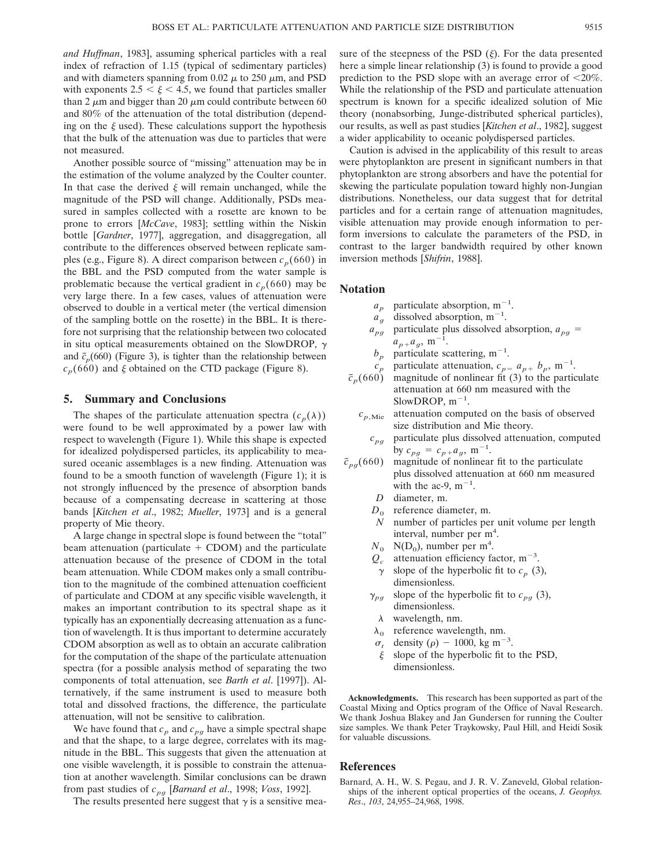*and Huffman*, 1983], assuming spherical particles with a real index of refraction of 1.15 (typical of sedimentary particles) and with diameters spanning from 0.02  $\mu$  to 250  $\mu$ m, and PSD with exponents  $2.5 < \xi < 4.5$ , we found that particles smaller than 2  $\mu$ m and bigger than 20  $\mu$ m could contribute between 60 and 80% of the attenuation of the total distribution (depending on the  $\xi$  used). These calculations support the hypothesis that the bulk of the attenuation was due to particles that were not measured.

Another possible source of "missing" attenuation may be in the estimation of the volume analyzed by the Coulter counter. In that case the derived  $\xi$  will remain unchanged, while the magnitude of the PSD will change. Additionally, PSDs measured in samples collected with a rosette are known to be prone to errors [*McCave*, 1983]; settling within the Niskin bottle [*Gardner*, 1977], aggregation, and disaggregation, all contribute to the differences observed between replicate samples (e.g., Figure 8). A direct comparison between  $c_p(660)$  in the BBL and the PSD computed from the water sample is problematic because the vertical gradient in  $c_p(660)$  may be very large there. In a few cases, values of attenuation were observed to double in a vertical meter (the vertical dimension of the sampling bottle on the rosette) in the BBL. It is therefore not surprising that the relationship between two colocated in situ optical measurements obtained on the SlowDROP,  $\gamma$ and  $\tilde{\epsilon}_p(660)$  (Figure 3), is tighter than the relationship between  $c_p(660)$  and  $\xi$  obtained on the CTD package (Figure 8).

### **5. Summary and Conclusions**

The shapes of the particulate attenuation spectra  $(c_p(\lambda))$ were found to be well approximated by a power law with respect to wavelength (Figure 1). While this shape is expected for idealized polydispersed particles, its applicability to measured oceanic assemblages is a new finding. Attenuation was found to be a smooth function of wavelength (Figure 1); it is not strongly influenced by the presence of absorption bands because of a compensating decrease in scattering at those bands [*Kitchen et al*., 1982; *Mueller*, 1973] and is a general property of Mie theory.

A large change in spectral slope is found between the "total" beam attenuation (particulate  $+$  CDOM) and the particulate attenuation because of the presence of CDOM in the total beam attenuation. While CDOM makes only a small contribution to the magnitude of the combined attenuation coefficient of particulate and CDOM at any specific visible wavelength, it makes an important contribution to its spectral shape as it typically has an exponentially decreasing attenuation as a function of wavelength. It is thus important to determine accurately CDOM absorption as well as to obtain an accurate calibration for the computation of the shape of the particulate attenuation spectra (for a possible analysis method of separating the two components of total attenuation, see *Barth et al*. [1997]). Alternatively, if the same instrument is used to measure both total and dissolved fractions, the difference, the particulate attenuation, will not be sensitive to calibration.

We have found that  $c_p$  and  $c_{pq}$  have a simple spectral shape and that the shape, to a large degree, correlates with its magnitude in the BBL. This suggests that given the attenuation at one visible wavelength, it is possible to constrain the attenuation at another wavelength. Similar conclusions can be drawn from past studies of *cp<sup>g</sup>* [*Barnard et al*., 1998; *Voss*, 1992].

The results presented here suggest that  $\gamma$  is a sensitive mea-

sure of the steepness of the PSD  $(\xi)$ . For the data presented here a simple linear relationship (3) is found to provide a good prediction to the PSD slope with an average error of  $\langle 20\% \rangle$ . While the relationship of the PSD and particulate attenuation spectrum is known for a specific idealized solution of Mie theory (nonabsorbing, Junge-distributed spherical particles), our results, as well as past studies [*Kitchen et al*., 1982], suggest a wider applicability to oceanic polydispersed particles.

Caution is advised in the applicability of this result to areas were phytoplankton are present in significant numbers in that phytoplankton are strong absorbers and have the potential for skewing the particulate population toward highly non-Jungian distributions. Nonetheless, our data suggest that for detrital particles and for a certain range of attenuation magnitudes, visible attenuation may provide enough information to perform inversions to calculate the parameters of the PSD, in contrast to the larger bandwidth required by other known inversion methods [*Shifrin*, 1988].

#### **Notation**

- $a_p$  particulate absorption, m<sup>-1</sup>.
- $a_{g}^{r}$  dissolved absorption, m<sup>-1</sup>.
- $a_{pg}$  particulate plus dissolved absorption,  $a_{pg}$  =  $a_{p+}a_g$ , m<sup>-1</sup>.
- $b_p$  particulate scattering, m<sup>-1</sup>.
- $c_p^r$  particulate attenuation,  $c_{p} = a_{p+} b_p$ , m<sup>-1</sup>.
- $c_p$  particulate attenuation,  $c_{p=1} a_{p+1} b_p$ , m<sup>-1</sup>.<br>  $\tilde{c}_p(660)$  magnitude of nonlinear fit (3) to the particulate attenuation at 660 nm measured with the SlowDROP,  $m^{-1}$ .
	- $c_{p,\text{Mie}}$  attenuation computed on the basis of observed size distribution and Mie theory.
		- $c_{pq}$  particulate plus dissolved attenuation, computed by  $c_{pg} = c_{p+}a_g$ , m<sup>-1</sup>.
- $\tilde{c}_{pq}(660)$  magnitude of nonlinear fit to the particulate plus dissolved attenuation at 660 nm measured with the ac-9,  $m^{-1}$ .
	- *D* diameter, m.
	- $D_0$  reference diameter, m.<br>*N* number of particles per
	- number of particles per unit volume per length interval, number per m<sup>4</sup>.
	- $N_0$  N(D<sub>0</sub>), number per m<sup>4</sup>.
	- $Q_c$  attenuation efficiency factor, m<sup>-3</sup>.
	- $\gamma$  slope of the hyperbolic fit to  $c_p$  (3), dimensionless.
	- $\gamma_{pq}$  slope of the hyperbolic fit to  $c_{pg}$  (3), dimensionless.
		- $\lambda$  wavelength, nm.
	- $\lambda_0$  reference wavelength, nm.
	- $\sigma_t$  density ( $\rho$ ) 1000, kg m<sup>-3</sup>.
	- $\xi$  slope of the hyperbolic fit to the PSD, dimensionless.

**Acknowledgments.** This research has been supported as part of the Coastal Mixing and Optics program of the Office of Naval Research. We thank Joshua Blakey and Jan Gundersen for running the Coulter size samples. We thank Peter Traykowsky, Paul Hill, and Heidi Sosik for valuable discussions.

#### **References**

Barnard, A. H., W. S. Pegau, and J. R. V. Zaneveld, Global relationships of the inherent optical properties of the oceans, *J. Geophys. Res*., *103*, 24,955–24,968, 1998.